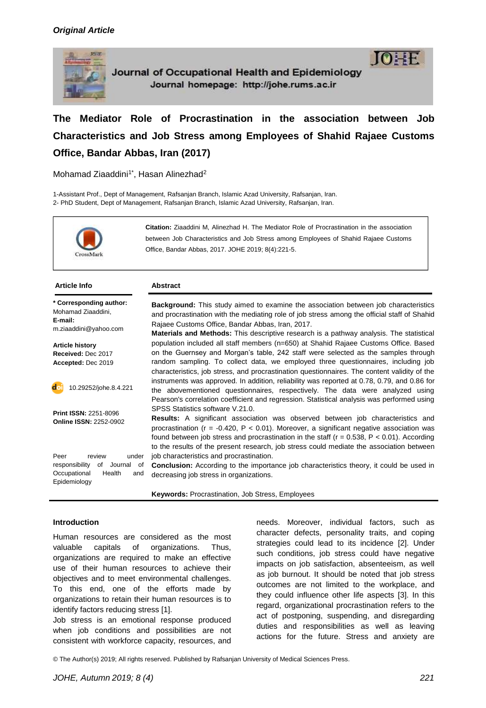

Journal of Occupational Health and Epidemiology Journal homepage: http://johe.rums.ac.ir



**The Mediator Role of Procrastination in the association between Job Characteristics and Job Stress among Employees of Shahid Rajaee Customs Office, Bandar Abbas, Iran (2017)**

Mohamad Ziaaddini<sup>1\*</sup>, Hasan Alinezhad<sup>2</sup>

1-Assistant Prof., Dept of Management, Rafsanjan Branch, Islamic Azad University, Rafsanjan, Iran. 2- PhD Student, Dept of Management, Rafsanjan Branch, Islamic Azad University, Rafsanjan, Iran.



**Citation:** Ziaaddini M, Alinezhad H. The Mediator Role of Procrastination in the association between Job Characteristics and Job Stress among Employees of Shahid Rajaee Customs Office, Bandar Abbas, 2017. JOHE 2019; 8(4):221-5.

#### **Article Info Abstract**

**\* Corresponding author:** Mohamad Ziaaddini, **E-mail:**  m.ziaaddini@yahoo.com

**Article history Received:** Dec 2017 **Accepted:** Dec 2019



10.29252/johe.8.4.221

**Print ISSN:** 2251-8096 **Online ISSN:** 2252-0902

Peer review under responsibility of Journal of Occupational Health and Epidemiology

**Background:** This study aimed to examine the association between job characteristics and procrastination with the mediating role of job stress among the official staff of Shahid Rajaee Customs Office, Bandar Abbas, Iran, 2017.

**Materials and Methods:** This descriptive research is a pathway analysis. The statistical population included all staff members (n=650) at Shahid Rajaee Customs Office. Based on the Guernsey and Morgan's table, 242 staff were selected as the samples through random sampling. To collect data, we employed three questionnaires, including job characteristics, job stress, and procrastination questionnaires. The content validity of the instruments was approved. In addition, reliability was reported at 0.78, 0.79, and 0.86 for the abovementioned questionnaires, respectively. The data were analyzed using Pearson's correlation coefficient and regression. Statistical analysis was performed using SPSS Statistics software V.21.0.

**Results:** A significant association was observed between job characteristics and procrastination ( $r = -0.420$ ,  $P < 0.01$ ). Moreover, a significant negative association was found between job stress and procrastination in the staff ( $r = 0.538$ ,  $P < 0.01$ ). According to the results of the present research, job stress could mediate the association between job characteristics and procrastination.

**Conclusion:** According to the importance job characteristics theory, it could be used in decreasing job stress in organizations.

**Keywords:** Procrastination, Job Stress, Employees

## **Introduction**

Human resources are considered as the most valuable capitals of organizations. Thus, organizations are required to make an effective use of their human resources to achieve their objectives and to meet environmental challenges. To this end, one of the efforts made by organizations to retain their human resources is to identify factors reducing stress [1].

Job stress is an emotional response produced when job conditions and possibilities are not consistent with workforce capacity, resources, and

needs. Moreover, individual factors, such as character defects, personality traits, and coping strategies could lead to its incidence [2]. Under such conditions, job stress could have negative impacts on job satisfaction, absenteeism, as well as job burnout. It should be noted that job stress outcomes are not limited to the workplace, and they could influence other life aspects [3]. In this regard, organizational procrastination refers to the act of postponing, suspending, and disregarding duties and responsibilities as well as leaving actions for the future. Stress and anxiety are

© The Author(s) 2019; All rights reserved. Published by Rafsanjan University of Medical Sciences Press.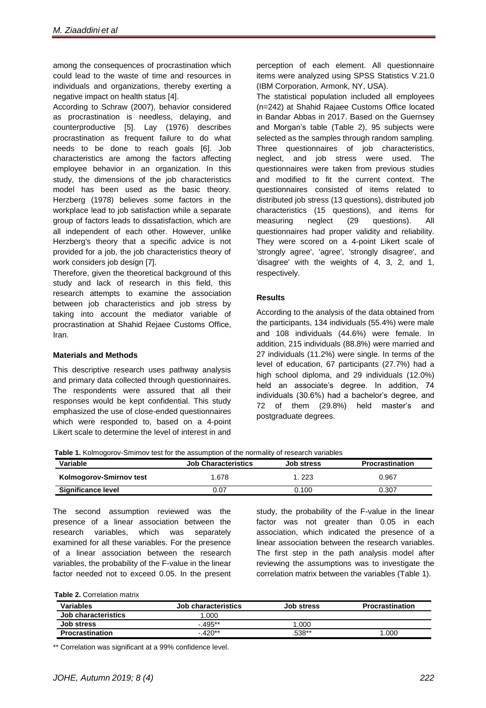among the consequences of procrastination which could lead to the waste of time and resources in individuals and organizations, thereby exerting a negative impact on health status [4].

According to Schraw (2007), behavior considered as procrastination is needless, delaying, and counterproductive [5]. Lay (1976) describes procrastination as frequent failure to do what needs to be done to reach goals [6]. Job characteristics are among the factors affecting employee behavior in an organization. In this study, the dimensions of the job characteristics model has been used as the basic theory. Herzberg (1978) believes some factors in the workplace lead to job satisfaction while a separate group of factors leads to dissatisfaction, which are all independent of each other. However, unlike Herzberg's theory that a specific advice is not provided for a job, the job characteristics theory of work considers job design [7].

Therefore, given the theoretical background of this study and lack of research in this field, this research attempts to examine the association between job characteristics and job stress by taking into account the mediator variable of procrastination at Shahid Rejaee Customs Office, Iran.

## **Materials and Methods**

This descriptive research uses pathway analysis and primary data collected through questionnaires. The respondents were assured that all their responses would be kept confidential. This study emphasized the use of close-ended questionnaires which were responded to, based on a 4-point Likert scale to determine the level of interest in and

perception of each element. All questionnaire items were analyzed using SPSS Statistics V.21.0 (IBM Corporation, Armonk, NY, USA).

The statistical population included all employees (n=242) at Shahid Rajaee Customs Office located in Bandar Abbas in 2017. Based on the Guernsey and Morgan's table (Table 2), 95 subjects were selected as the samples through random sampling. Three questionnaires of job characteristics, neglect, and job stress were used. The questionnaires were taken from previous studies and modified to fit the current context. The questionnaires consisted of items related to distributed job stress (13 questions), distributed job characteristics (15 questions), and items for measuring neglect (29 questions). All questionnaires had proper validity and reliability. They were scored on a 4-point Likert scale of 'strongly agree', 'agree', 'strongly disagree', and 'disagree' with the weights of 4, 3, 2, and 1, respectively.

### **Results**

According to the analysis of the data obtained from the participants, 134 individuals (55.4%) were male and 108 individuals (44.6%) were female. In addition, 215 individuals (88.8%) were married and 27 individuals (11.2%) were single. In terms of the level of education, 67 participants (27.7%) had a high school diploma, and 29 individuals (12.0%) held an associate's degree. In addition, 74 individuals (30.6%) had a bachelor's degree, and 72 of them (29.8%) held master's and postgraduate degrees.

**Table 1.** Kolmogorov-Smirnov test for the assumption of the normality of research variables

| Variable                | <b>Job Characteristics</b> | <b>Job stress</b> | <b>Procrastination</b> |  |
|-------------------------|----------------------------|-------------------|------------------------|--|
| Kolmogorov-Smirnov test | 1.678                      | l. 223            | 0.967                  |  |
| Significance level      | 0.07                       | 0.100             | 0.307                  |  |

The second assumption reviewed was the presence of a linear association between the research variables, which was separately examined for all these variables. For the presence of a linear association between the research variables, the probability of the F-value in the linear factor needed not to exceed 0.05. In the present

study, the probability of the F-value in the linear factor was not greater than 0.05 in each association, which indicated the presence of a linear association between the research variables. The first step in the path analysis model after reviewing the assumptions was to investigate the correlation matrix between the variables (Table 1).

**Table 2.** Correlation matrix

| Variables              | Job characteristics | Job stress | <b>Procrastination</b> |
|------------------------|---------------------|------------|------------------------|
| Job characteristics    | 1.000               |            |                        |
| <b>Job stress</b>      | -.495**             | 000.       |                        |
| <b>Procrastination</b> | -.420**             | .538**     | .000                   |

\*\* Correlation was significant at a 99% confidence level.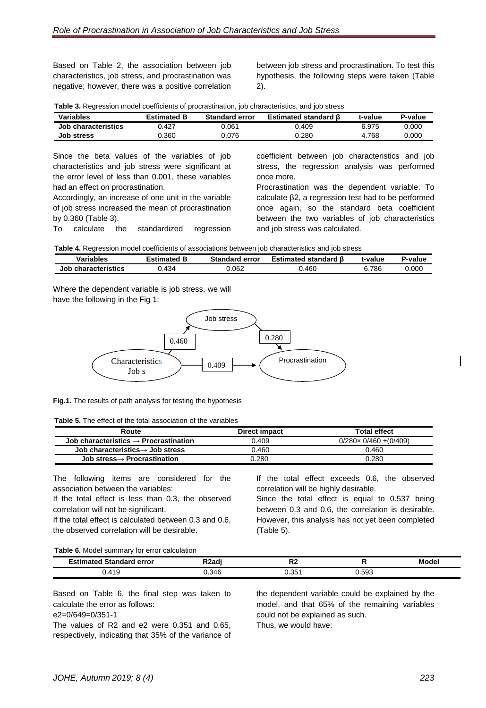Based on Table 2, the association between job characteristics, job stress, and procrastination was negative; however, there was a positive correlation between job stress and procrastination. To test this hypothesis, the following steps were taken (Table 2).

| Table 3. Regression model coefficients of procrastination, job characteristics, and job stress |  |  |  |
|------------------------------------------------------------------------------------------------|--|--|--|
|------------------------------------------------------------------------------------------------|--|--|--|

| Variables           | <b>Estimated B</b> | <b>Standard error</b> | <b>Estimated standard B</b> | t-value | P-value |
|---------------------|--------------------|-----------------------|-----------------------------|---------|---------|
| Job characteristics | 427.ر              | 0.061                 | 409.ر                       | 6.975   | 0.000   |
| <b>Job stress</b>   | .360               | ን.076                 | 280.ر                       | .768    | 0.000   |

Since the beta values of the variables of job characteristics and job stress were significant at the error level of less than 0.001, these variables had an effect on procrastination.

Accordingly, an increase of one unit in the variable of job stress increased the mean of procrastination by 0.360 (Table 3).

To calculate the standardized regression

coefficient between job characteristics and job stress, the regression analysis was performed once more.

Procrastination was the dependent variable. To calculate β2, a regression test had to be performed once again, so the standard beta coefficient between the two variables of job characteristics and job stress was calculated.

**Table 4.** Regression model coefficients of associations between job characteristics and job stress

| <b>Variables</b>           | <b>Estimated</b> | <b>Standard error</b> | Estimated standard <b>B</b> | t-value | P-value |
|----------------------------|------------------|-----------------------|-----------------------------|---------|---------|
| <b>Job characteristics</b> | 434.ر            | 0.062                 | ა.460                       | 6.786   | 0.000   |

Where the dependent variable is job stress, we will have the following in the Fig 1:



**Fig.1.** The results of path analysis for testing the hypothesis

| Route                                             | Direct impact | <b>Total effect</b>            |  |
|---------------------------------------------------|---------------|--------------------------------|--|
| Job characteristics $\rightarrow$ Procrastination | 0.409         | $0/280 \times 0/460 + (0/409)$ |  |
| Job characteristics $\rightarrow$ Job stress      | 0.460         | 0.460                          |  |
| Job stress $\rightarrow$ Procrastination          | 0.280         | 0.280                          |  |

The following items are considered for the association between the variables:

If the total effect is less than 0.3, the observed correlation will not be significant.

If the total effect is calculated between 0.3 and 0.6, the observed correlation will be desirable.

If the total effect exceeds 0.6, the observed correlation will be highly desirable.

Since the total effect is equal to 0.537 being between 0.3 and 0.6, the correlation is desirable. However, this analysis has not yet been completed (Table 5).

|  | Table 6. Model summary for error calculation |  |  |
|--|----------------------------------------------|--|--|
|--|----------------------------------------------|--|--|

| <b>Standard</b><br>error<br>.<br>. | . .<br>Dクっぺ<br><b>Azau</b> | o'<br>ıν  |     | --<br>Mode<br>uc |
|------------------------------------|----------------------------|-----------|-----|------------------|
| 119<br>_                           | 0.346                      | 25<br>.טט | 593 |                  |

Based on Table 6, the final step was taken to calculate the error as follows:

e2=0/649=0/351-1

The values of R2 and e2 were 0.351 and 0.65, respectively, indicating that 35% of the variance of

the dependent variable could be explained by the model, and that 65% of the remaining variables could not be explained as such. Thus, we would have: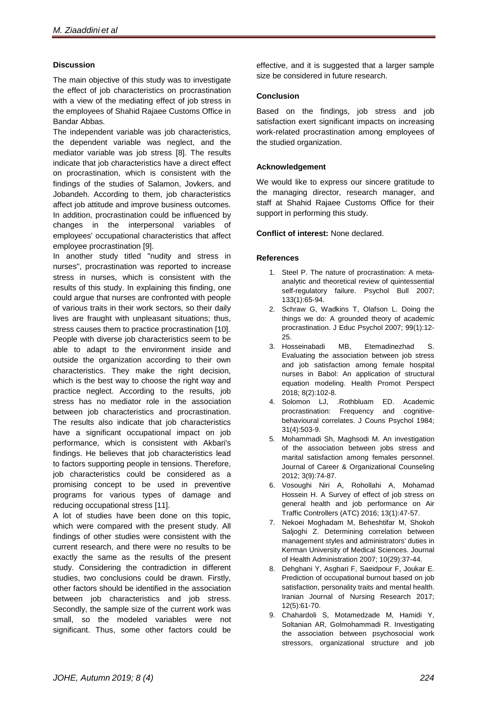# **Discussion**

The main objective of this study was to investigate the effect of job characteristics on procrastination with a view of the mediating effect of job stress in the employees of Shahid Rajaee Customs Office in Bandar Abbas.

The independent variable was job characteristics, the dependent variable was neglect, and the mediator variable was job stress [8]. The results indicate that job characteristics have a direct effect on procrastination, which is consistent with the findings of the studies of Salamon, Jovkers, and Jobandeh. According to them, job characteristics affect job attitude and improve business outcomes. In addition, procrastination could be influenced by changes in the interpersonal variables of employees' occupational characteristics that affect employee procrastination [9].

In another study titled "nudity and stress in nurses", procrastination was reported to increase stress in nurses, which is consistent with the results of this study. In explaining this finding, one could argue that nurses are confronted with people of various traits in their work sectors, so their daily lives are fraught with unpleasant situations; thus, stress causes them to practice procrastination [10]. People with diverse job characteristics seem to be able to adapt to the environment inside and outside the organization according to their own characteristics. They make the right decision, which is the best way to choose the right way and practice neglect. According to the results, job stress has no mediator role in the association between job characteristics and procrastination. The results also indicate that job characteristics have a significant occupational impact on job performance, which is consistent with Akbari's findings. He believes that job characteristics lead to factors supporting people in tensions. Therefore, job characteristics could be considered as a promising concept to be used in preventive programs for various types of damage and reducing occupational stress [11].

A lot of studies have been done on this topic, which were compared with the present study. All findings of other studies were consistent with the current research, and there were no results to be exactly the same as the results of the present study. Considering the contradiction in different studies, two conclusions could be drawn. Firstly, other factors should be identified in the association between job characteristics and job stress. Secondly, the sample size of the current work was small, so the modeled variables were not significant. Thus, some other factors could be

effective, and it is suggested that a larger sample size be considered in future research.

## **Conclusion**

Based on the findings, job stress and job satisfaction exert significant impacts on increasing work-related procrastination among employees of the studied organization.

## **Acknowledgement**

We would like to express our sincere gratitude to the managing director, research manager, and staff at Shahid Rajaee Customs Office for their support in performing this study.

## **Conflict of interest:** None declared.

## **References**

- 1. Steel P. The nature of procrastination: A metaanalytic and theoretical review of quintessential self-regulatory failure. Psychol Bull 2007; 133(1):65-94.
- 2. Schraw G, Wadkins T, Olafson L. Doing the things we do: A grounded theory of academic procrastination. J Educ Psychol 2007; 99(1):12- 25.
- 3. Hosseinabadi MB, Etemadinezhad S. Evaluating the association between job stress and job satisfaction among female hospital nurses in Babol: An application of structural equation modeling. Health Promot Perspect 2018; 8(2):102-8.
- 4. Solomon LJ, .Rothbluam ED. Academic procrastination: Frequency and cognitivebehavioural correlates. J Couns Psychol 1984; 31(4):503-9.
- 5. Mohammadi Sh, Maghsodi M. An investigation of the association between jobs stress and marital satisfaction among females personnel. [Journal of Career & Organizational Counseling](https://www.sid.ir/en/journal/JournalList.aspx?ID=17015) 2012; 3(9):74-87.
- 6. Vosoughi Niri A, Rohollahi A, Mohamad Hossein H. A Survey of effect of job stress on general health and job performance on Air Traffic Controllers (ATC) 2016; 13(1):47-57.
- 7. Nekoei Moghadam M, Beheshtifar M, Shokoh Saljoghi Z. Determining correlation between management styles and administrators' duties in Kerman University of Medical Sciences. Journal of Health Administration 2007; 10(29):37-44.
- 8. Dehghani Y, Asghari F, Saeidpour F, Joukar E. Prediction of occupational burnout based on job satisfaction, personality traits and mental health. Iranian Journal of Nursing Research 2017; 12(5):61-70.
- 9. Chahardoli S, Motamedzade M, Hamidi Y, Soltanian AR, Golmohammadi R. Investigating the association between psychosocial work stressors, organizational structure and job